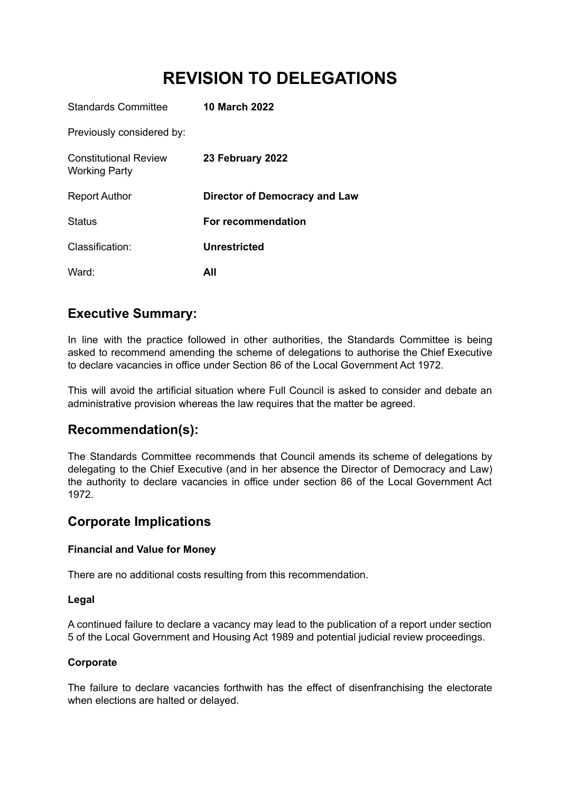# **REVISION TO DELEGATIONS**

| Standards Committee                                  | <b>10 March 2022</b>                 |
|------------------------------------------------------|--------------------------------------|
| Previously considered by:                            |                                      |
| <b>Constitutional Review</b><br><b>Working Party</b> | 23 February 2022                     |
| <b>Report Author</b>                                 | <b>Director of Democracy and Law</b> |
| <b>Status</b>                                        | For recommendation                   |
| Classification:                                      | Unrestricted                         |
| Ward:                                                | Αll                                  |

# **Executive Summary:**

In line with the practice followed in other authorities, the Standards Committee is being asked to recommend amending the scheme of delegations to authorise the Chief Executive to declare vacancies in office under Section 86 of the Local Government Act 1972.

This will avoid the artificial situation where Full Council is asked to consider and debate an administrative provision whereas the law requires that the matter be agreed.

# **Recommendation(s):**

The Standards Committee recommends that Council amends its scheme of delegations by delegating to the Chief Executive (and in her absence the Director of Democracy and Law) the authority to declare vacancies in office under section 86 of the Local Government Act 1972.

# **Corporate Implications**

## **Financial and Value for Money**

There are no additional costs resulting from this recommendation.

## **Legal**

A continued failure to declare a vacancy may lead to the publication of a report under section 5 of the Local Government and Housing Act 1989 and potential judicial review proceedings.

## **Corporate**

The failure to declare vacancies forthwith has the effect of disenfranchising the electorate when elections are halted or delayed.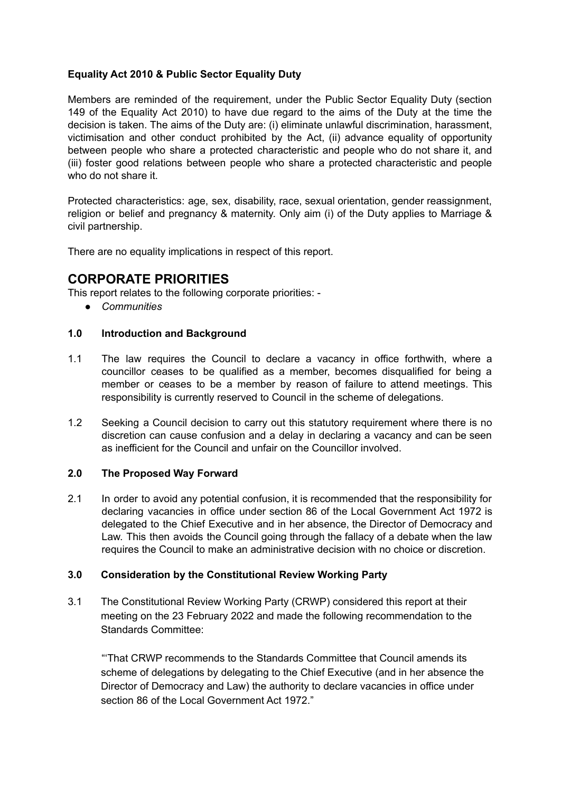## **Equality Act 2010 & Public Sector Equality Duty**

Members are reminded of the requirement, under the Public Sector Equality Duty (section 149 of the Equality Act 2010) to have due regard to the aims of the Duty at the time the decision is taken. The aims of the Duty are: (i) eliminate unlawful discrimination, harassment, victimisation and other conduct prohibited by the Act, (ii) advance equality of opportunity between people who share a protected characteristic and people who do not share it, and (iii) foster good relations between people who share a protected characteristic and people who do not share it.

Protected characteristics: age, sex, disability, race, sexual orientation, gender reassignment, religion or belief and pregnancy & maternity. Only aim (i) of the Duty applies to Marriage & civil partnership.

There are no equality implications in respect of this report.

# **CORPORATE PRIORITIES**

This report relates to the following corporate priorities: -

*● Communities*

#### **1.0 Introduction and Background**

- 1.1 The law requires the Council to declare a vacancy in office forthwith, where a councillor ceases to be qualified as a member, becomes disqualified for being a member or ceases to be a member by reason of failure to attend meetings. This responsibility is currently reserved to Council in the scheme of delegations.
- 1.2 Seeking a Council decision to carry out this statutory requirement where there is no discretion can cause confusion and a delay in declaring a vacancy and can be seen as inefficient for the Council and unfair on the Councillor involved.

## **2.0 The Proposed Way Forward**

2.1 In order to avoid any potential confusion, it is recommended that the responsibility for declaring vacancies in office under section 86 of the Local Government Act 1972 is delegated to the Chief Executive and in her absence, the Director of Democracy and Law. This then avoids the Council going through the fallacy of a debate when the law requires the Council to make an administrative decision with no choice or discretion.

#### **3.0 Consideration by the Constitutional Review Working Party**

3.1 The Constitutional Review Working Party (CRWP) considered this report at their meeting on the 23 February 2022 and made the following recommendation to the Standards Committee:

"'That CRWP recommends to the Standards Committee that Council amends its scheme of delegations by delegating to the Chief Executive (and in her absence the Director of Democracy and Law) the authority to declare vacancies in office under section 86 of the Local Government Act 1972.